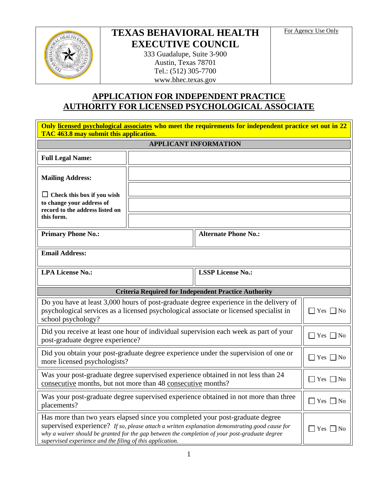

# **TEXAS BEHAVIORAL HEALTH EXECUTIVE COUNCIL**

For Agency Use Only

333 Guadalupe, Suite 3-900 Austin, Texas 78701 Tel.: (512) 305-7700 www.bhec.texas.gov

## **APPLICATION FOR INDEPENDENT PRACTICE AUTHORITY FOR LICENSED PSYCHOLOGICAL ASSOCIATE**

| Only licensed psychological associates who meet the requirements for independent practice set out in 22<br>TAC 463.8 may submit this application.                                                                                                                                                                                              |                              |                                                             |                      |  |  |
|------------------------------------------------------------------------------------------------------------------------------------------------------------------------------------------------------------------------------------------------------------------------------------------------------------------------------------------------|------------------------------|-------------------------------------------------------------|----------------------|--|--|
| <b>APPLICANT INFORMATION</b>                                                                                                                                                                                                                                                                                                                   |                              |                                                             |                      |  |  |
| <b>Full Legal Name:</b>                                                                                                                                                                                                                                                                                                                        |                              |                                                             |                      |  |  |
| <b>Mailing Address:</b>                                                                                                                                                                                                                                                                                                                        |                              |                                                             |                      |  |  |
| $\Box$ Check this box if you wish<br>to change your address of<br>record to the address listed on                                                                                                                                                                                                                                              |                              |                                                             |                      |  |  |
| this form.                                                                                                                                                                                                                                                                                                                                     |                              |                                                             |                      |  |  |
| <b>Primary Phone No.:</b>                                                                                                                                                                                                                                                                                                                      |                              | <b>Alternate Phone No.:</b>                                 |                      |  |  |
| <b>Email Address:</b>                                                                                                                                                                                                                                                                                                                          |                              |                                                             |                      |  |  |
| <b>LPA License No.:</b>                                                                                                                                                                                                                                                                                                                        |                              | <b>LSSP License No.:</b>                                    |                      |  |  |
|                                                                                                                                                                                                                                                                                                                                                |                              | <b>Criteria Required for Independent Practice Authority</b> |                      |  |  |
| Do you have at least 3,000 hours of post-graduate degree experience in the delivery of<br>psychological services as a licensed psychological associate or licensed specialist in<br>$\Box$ Yes $\Box$ No<br>school psychology?                                                                                                                 |                              |                                                             |                      |  |  |
| Did you receive at least one hour of individual supervision each week as part of your<br>post-graduate degree experience?                                                                                                                                                                                                                      | $\sqcap$ Yes<br>$ $ No       |                                                             |                      |  |  |
| Did you obtain your post-graduate degree experience under the supervision of one or<br>more licensed psychologists?                                                                                                                                                                                                                            | $\exists$ Yes [<br>$\Box$ No |                                                             |                      |  |  |
| Was your post-graduate degree supervised experience obtained in not less than 24<br>consecutive months, but not more than 48 consecutive months?                                                                                                                                                                                               |                              |                                                             | $\Box$ Yes $\Box$ No |  |  |
| Was your post-graduate degree supervised experience obtained in not more than three<br>placements?                                                                                                                                                                                                                                             |                              |                                                             | Yes<br>No            |  |  |
| Has more than two years elapsed since you completed your post-graduate degree<br>supervised experience? If so, please attach a written explanation demonstrating good cause for<br>why a waiver should be granted for the gap between the completion of your post-graduate degree<br>supervised experience and the filing of this application. |                              |                                                             | Yes  <br>$\neg$ No   |  |  |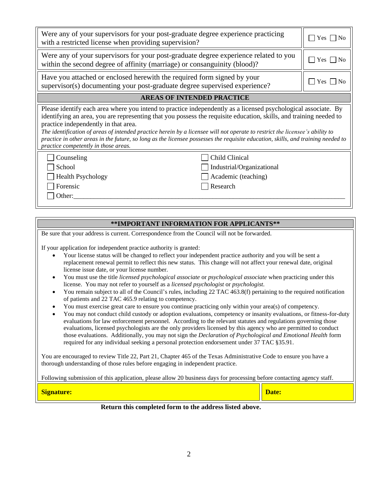| Were any of your supervisors for your post-graduate degree experience practicing<br>with a restricted license when providing supervision?                                                                                                                                                                                                                                                                                                                                                                                                                                                | $Yes \mid \text{No}$ |  |  |  |  |
|------------------------------------------------------------------------------------------------------------------------------------------------------------------------------------------------------------------------------------------------------------------------------------------------------------------------------------------------------------------------------------------------------------------------------------------------------------------------------------------------------------------------------------------------------------------------------------------|----------------------|--|--|--|--|
| Were any of your supervisors for your post-graduate degree experience related to you<br>within the second degree of affinity (marriage) or consanguinity (blood)?                                                                                                                                                                                                                                                                                                                                                                                                                        | Yes $\Box$ No        |  |  |  |  |
| Have you attached or enclosed herewith the required form signed by your<br>supervisor(s) documenting your post-graduate degree supervised experience?                                                                                                                                                                                                                                                                                                                                                                                                                                    | Yes   INo            |  |  |  |  |
| <b>AREAS OF INTENDED PRACTICE</b>                                                                                                                                                                                                                                                                                                                                                                                                                                                                                                                                                        |                      |  |  |  |  |
| Please identify each area where you intend to practice independently as a licensed psychological associate. By<br>identifying an area, you are representing that you possess the requisite education, skills, and training needed to<br>practice independently in that area.<br>The identification of areas of intended practice herein by a licensee will not operate to restrict the licensee's ability to<br>practice in other areas in the future, so long as the licensee possesses the requisite education, skills, and training needed to<br>practice competently in those areas. |                      |  |  |  |  |
| Child Clinical<br>Counseling<br>School<br>Industrial/Organizational<br><b>Health Psychology</b><br>Academic (teaching)<br>Forensic<br>Research<br>Other:                                                                                                                                                                                                                                                                                                                                                                                                                                 |                      |  |  |  |  |

### **\*\*IMPORTANT INFORMATION FOR APPLICANTS\*\***

Be sure that your address is current. Correspondence from the Council will not be forwarded.

If your application for independent practice authority is granted:

- Your license status will be changed to reflect your independent practice authority and you will be sent a replacement renewal permit to reflect this new status. This change will not affect your renewal date, original license issue date, or your license number.
- You must use the title *licensed psychological associate* or *psychological associate* when practicing under this license. You may not refer to yourself as a *licensed psychologist* or *psychologist*.
- You remain subject to all of the Council's rules, including 22 TAC 463.8(f) pertaining to the required notification of patients and 22 TAC 465.9 relating to competency.
- You must exercise great care to ensure you continue practicing only within your area(s) of competency.
- You may not conduct child custody or adoption evaluations, competency or insanity evaluations, or fitness-for-duty evaluations for law enforcement personnel. According to the relevant statutes and regulations governing those evaluations, licensed psychologists are the only providers licensed by this agency who are permitted to conduct those evaluations. Additionally, you may not sign the *Declaration of Psychological and Emotional Health* form required for any individual seeking a personal protection endorsement under 37 TAC §35.91.

You are encouraged to review Title 22, Part 21, Chapter 465 of the Texas Administrative Code to ensure you have a thorough understanding of those rules before engaging in independent practice.

Following submission of this application, please allow 20 business days for processing before contacting agency staff.

| $\sim$<br><u>-orguatul t.</u> |   |  | $\overline{\phantom{a}}$<br>valt. |
|-------------------------------|---|--|-----------------------------------|
|                               | . |  |                                   |

#### **Return this completed form to the address listed above.**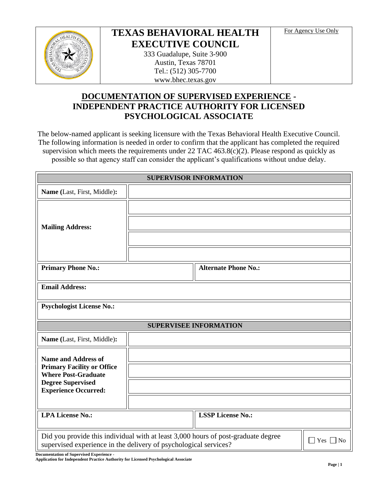

## **TEXAS BEHAVIORAL HEALTH EXECUTIVE COUNCIL**

For Agency Use Only

333 Guadalupe, Suite 3-900 Austin, Texas 78701 Tel.: (512) 305-7700 www.bhec.texas.gov

### **DOCUMENTATION OF SUPERVISED EXPERIENCE - INDEPENDENT PRACTICE AUTHORITY FOR LICENSED PSYCHOLOGICAL ASSOCIATE**

The below-named applicant is seeking licensure with the Texas Behavioral Health Executive Council. The following information is needed in order to confirm that the applicant has completed the required supervision which meets the requirements under 22 TAC 463.8(c)(2). Please respond as quickly as possible so that agency staff can consider the applicant's qualifications without undue delay.

| <b>SUPERVISOR INFORMATION</b>                                                                                                                                                            |  |                             |  |  |  |
|------------------------------------------------------------------------------------------------------------------------------------------------------------------------------------------|--|-----------------------------|--|--|--|
| Name (Last, First, Middle):                                                                                                                                                              |  |                             |  |  |  |
|                                                                                                                                                                                          |  |                             |  |  |  |
| <b>Mailing Address:</b>                                                                                                                                                                  |  |                             |  |  |  |
|                                                                                                                                                                                          |  |                             |  |  |  |
|                                                                                                                                                                                          |  |                             |  |  |  |
| <b>Primary Phone No.:</b>                                                                                                                                                                |  | <b>Alternate Phone No.:</b> |  |  |  |
| <b>Email Address:</b>                                                                                                                                                                    |  |                             |  |  |  |
| <b>Psychologist License No.:</b>                                                                                                                                                         |  |                             |  |  |  |
| <b>SUPERVISEE INFORMATION</b>                                                                                                                                                            |  |                             |  |  |  |
| Name (Last, First, Middle):                                                                                                                                                              |  |                             |  |  |  |
| <b>Name and Address of</b>                                                                                                                                                               |  |                             |  |  |  |
| <b>Primary Facility or Office</b><br><b>Where Post-Graduate</b>                                                                                                                          |  |                             |  |  |  |
| <b>Degree Supervised</b><br><b>Experience Occurred:</b>                                                                                                                                  |  |                             |  |  |  |
|                                                                                                                                                                                          |  |                             |  |  |  |
| <b>LPA License No.:</b>                                                                                                                                                                  |  | <b>LSSP License No.:</b>    |  |  |  |
| Did you provide this individual with at least 3,000 hours of post-graduate degree<br>$\bigcap$ Yes<br>N <sub>0</sub><br>supervised experience in the delivery of psychological services? |  |                             |  |  |  |

**Documentation of Supervised Experience -**

**Application for Independent Practice Authority for Licensed Psychological Associate**